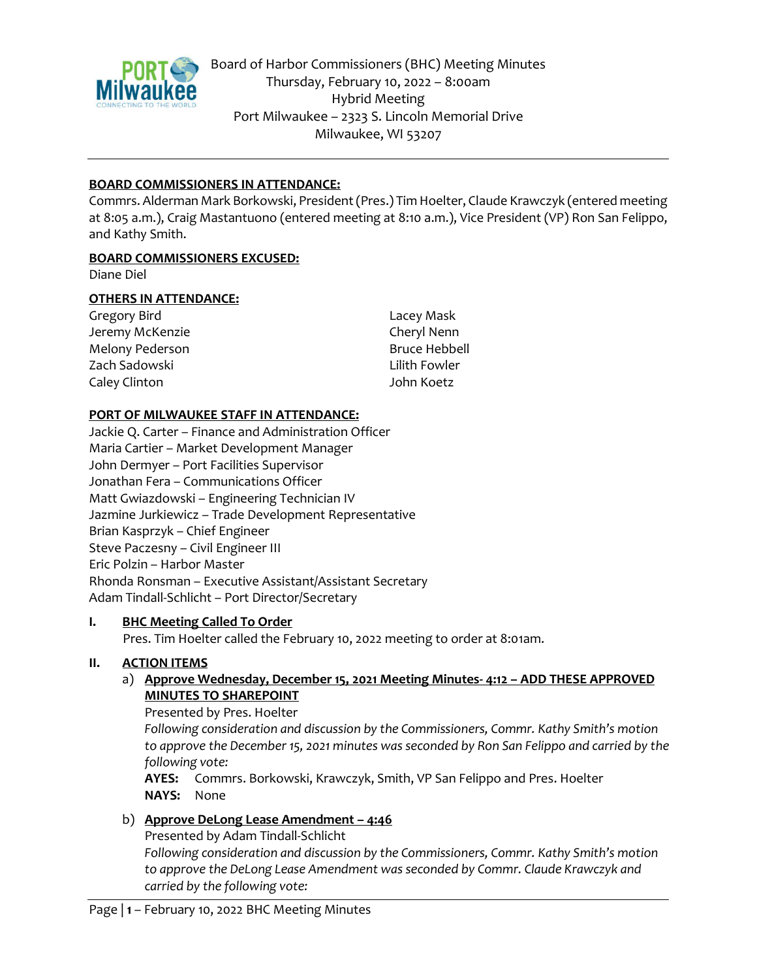

Board of Harbor Commissioners (BHC) Meeting Minutes Thursday, February 10, 2022 – 8:00am Hybrid Meeting Port Milwaukee – 2323 S. Lincoln Memorial Drive Milwaukee, WI 53207

### **BOARD COMMISSIONERS IN ATTENDANCE:**

Commrs. Alderman Mark Borkowski, President (Pres.) Tim Hoelter, Claude Krawczyk (entered meeting at 8:05 a.m.), Craig Mastantuono (entered meeting at 8:10 a.m.), Vice President (VP) Ron San Felippo, and Kathy Smith.

#### **BOARD COMMISSIONERS EXCUSED:**

Diane Diel

#### **OTHERS IN ATTENDANCE:**

| Gregory Bird    | Lacey Mask           |
|-----------------|----------------------|
| Jeremy McKenzie | Cheryl Nenn          |
| Melony Pederson | <b>Bruce Hebbell</b> |
| Zach Sadowski   | Lilith Fowler        |
| Caley Clinton   | John Koetz           |

#### **PORT OF MILWAUKEE STAFF IN ATTENDANCE:**

Jackie Q. Carter – Finance and Administration Officer Maria Cartier – Market Development Manager John Dermyer – Port Facilities Supervisor Jonathan Fera – Communications Officer Matt Gwiazdowski – Engineering Technician IV Jazmine Jurkiewicz – Trade Development Representative Brian Kasprzyk – Chief Engineer Steve Paczesny – Civil Engineer III Eric Polzin – Harbor Master Rhonda Ronsman – Executive Assistant/Assistant Secretary Adam Tindall-Schlicht – Port Director/Secretary

#### **I. BHC Meeting Called To Order**

Pres. Tim Hoelter called the February 10, 2022 meeting to order at 8:01am.

#### **II. ACTION ITEMS**

a) **Approve Wednesday, December 15, 2021 Meeting Minutes- 4:12 – ADD THESE APPROVED MINUTES TO SHAREPOINT**

Presented by Pres. Hoelter

*Following consideration and discussion by the Commissioners, Commr. Kathy Smith's motion to approve the December 15, 2021 minutes was seconded by Ron San Felippo and carried by the following vote:* 

**AYES:** Commrs. Borkowski, Krawczyk, Smith, VP San Felippo and Pres. Hoelter **NAYS:** None

### b) **Approve DeLong Lease Amendment – 4:46**

Presented by Adam Tindall-Schlicht *Following consideration and discussion by the Commissioners, Commr. Kathy Smith's motion to approve the DeLong Lease Amendment was seconded by Commr. Claude Krawczyk and carried by the following vote:*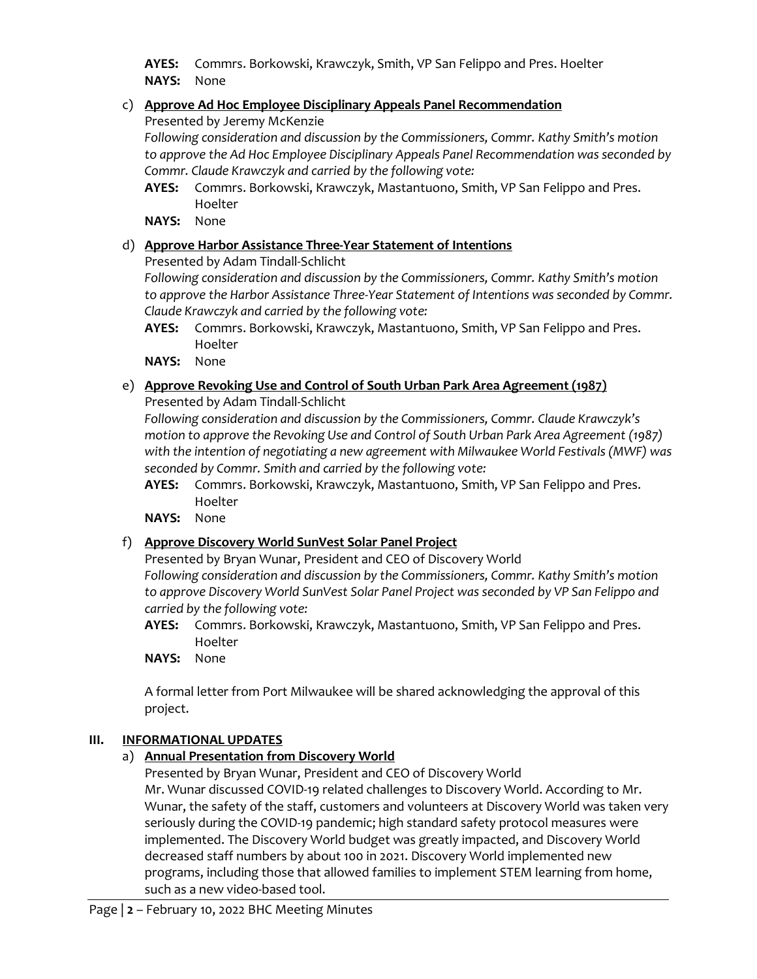**AYES:** Commrs. Borkowski, Krawczyk, Smith, VP San Felippo and Pres. Hoelter **NAYS:** None

# c) **Approve Ad Hoc Employee Disciplinary Appeals Panel Recommendation**

Presented by Jeremy McKenzie

*Following consideration and discussion by the Commissioners, Commr. Kathy Smith's motion to approve the Ad Hoc Employee Disciplinary Appeals Panel Recommendation was seconded by Commr. Claude Krawczyk and carried by the following vote:* 

- **AYES:** Commrs. Borkowski, Krawczyk, Mastantuono, Smith, VP San Felippo and Pres. Hoelter
- **NAYS:** None

# d) **Approve Harbor Assistance Three-Year Statement of Intentions**

Presented by Adam Tindall-Schlicht

*Following consideration and discussion by the Commissioners, Commr. Kathy Smith's motion to approve the Harbor Assistance Three-Year Statement of Intentions was seconded by Commr. Claude Krawczyk and carried by the following vote:* 

**AYES:** Commrs. Borkowski, Krawczyk, Mastantuono, Smith, VP San Felippo and Pres. Hoelter

**NAYS:** None

# e) **Approve Revoking Use and Control of South Urban Park Area Agreement (1987)**

Presented by Adam Tindall-Schlicht

*Following consideration and discussion by the Commissioners, Commr. Claude Krawczyk's motion to approve the Revoking Use and Control of South Urban Park Area Agreement (1987) with the intention of negotiating a new agreement with Milwaukee World Festivals (MWF) was seconded by Commr. Smith and carried by the following vote:* 

- **AYES:** Commrs. Borkowski, Krawczyk, Mastantuono, Smith, VP San Felippo and Pres. Hoelter
- **NAYS:** None

# f) **Approve Discovery World SunVest Solar Panel Project**

Presented by Bryan Wunar, President and CEO of Discovery World *Following consideration and discussion by the Commissioners, Commr. Kathy Smith's motion to approve Discovery World SunVest Solar Panel Project was seconded by VP San Felippo and carried by the following vote:* 

- **AYES:** Commrs. Borkowski, Krawczyk, Mastantuono, Smith, VP San Felippo and Pres. Hoelter
- **NAYS:** None

A formal letter from Port Milwaukee will be shared acknowledging the approval of this project.

# **III. INFORMATIONAL UPDATES**

a) **Annual Presentation from Discovery World**

Presented by Bryan Wunar, President and CEO of Discovery World Mr. Wunar discussed COVID-19 related challenges to Discovery World. According to Mr. Wunar, the safety of the staff, customers and volunteers at Discovery World was taken very seriously during the COVID-19 pandemic; high standard safety protocol measures were implemented. The Discovery World budget was greatly impacted, and Discovery World decreased staff numbers by about 100 in 2021. Discovery World implemented new programs, including those that allowed families to implement STEM learning from home, such as a new video-based tool.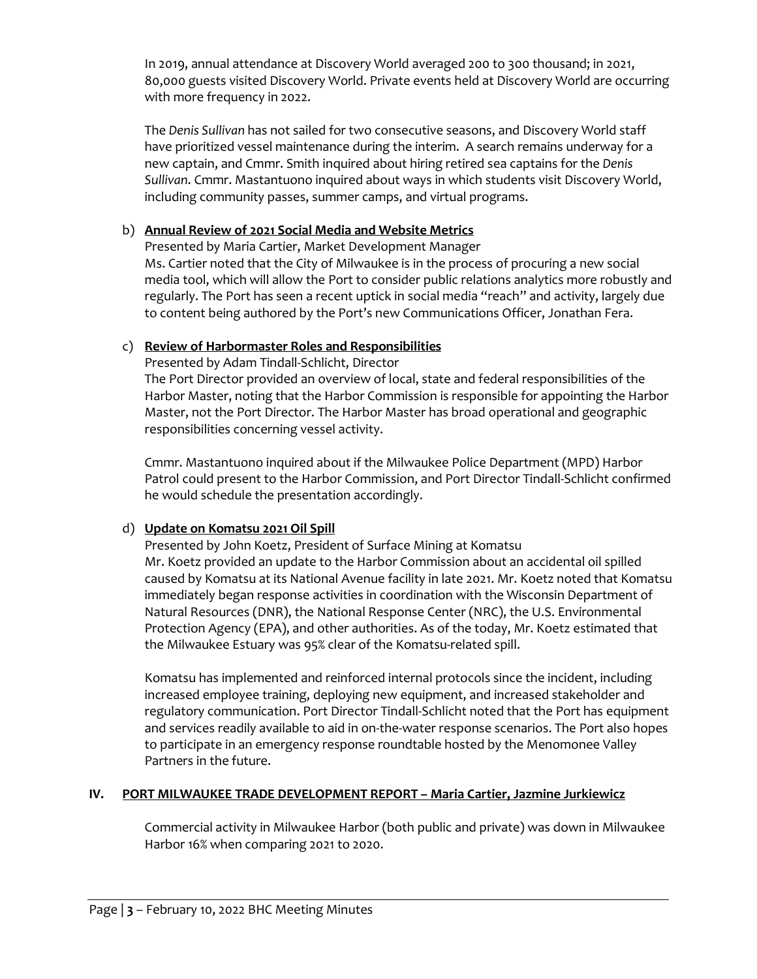In 2019, annual attendance at Discovery World averaged 200 to 300 thousand; in 2021, 80,000 guests visited Discovery World. Private events held at Discovery World are occurring with more frequency in 2022.

The *Denis Sullivan* has not sailed for two consecutive seasons, and Discovery World staff have prioritized vessel maintenance during the interim. A search remains underway for a new captain, and Cmmr. Smith inquired about hiring retired sea captains for the *Denis Sullivan*. Cmmr. Mastantuono inquired about ways in which students visit Discovery World, including community passes, summer camps, and virtual programs.

## b) **Annual Review of 2021 Social Media and Website Metrics**

Presented by Maria Cartier, Market Development Manager Ms. Cartier noted that the City of Milwaukee is in the process of procuring a new social media tool, which will allow the Port to consider public relations analytics more robustly and regularly. The Port has seen a recent uptick in social media "reach" and activity, largely due to content being authored by the Port's new Communications Officer, Jonathan Fera.

## c) **Review of Harbormaster Roles and Responsibilities**

Presented by Adam Tindall-Schlicht, Director

The Port Director provided an overview of local, state and federal responsibilities of the Harbor Master, noting that the Harbor Commission is responsible for appointing the Harbor Master, not the Port Director. The Harbor Master has broad operational and geographic responsibilities concerning vessel activity.

Cmmr. Mastantuono inquired about if the Milwaukee Police Department (MPD) Harbor Patrol could present to the Harbor Commission, and Port Director Tindall-Schlicht confirmed he would schedule the presentation accordingly.

# d) **Update on Komatsu 2021 Oil Spill**

Presented by John Koetz, President of Surface Mining at Komatsu Mr. Koetz provided an update to the Harbor Commission about an accidental oil spilled caused by Komatsu at its National Avenue facility in late 2021. Mr. Koetz noted that Komatsu immediately began response activities in coordination with the Wisconsin Department of Natural Resources (DNR), the National Response Center (NRC), the U.S. Environmental Protection Agency (EPA), and other authorities. As of the today, Mr. Koetz estimated that the Milwaukee Estuary was 95% clear of the Komatsu-related spill.

Komatsu has implemented and reinforced internal protocols since the incident, including increased employee training, deploying new equipment, and increased stakeholder and regulatory communication. Port Director Tindall-Schlicht noted that the Port has equipment and services readily available to aid in on-the-water response scenarios. The Port also hopes to participate in an emergency response roundtable hosted by the Menomonee Valley Partners in the future.

### **IV. PORT MILWAUKEE TRADE DEVELOPMENT REPORT – Maria Cartier, Jazmine Jurkiewicz**

Commercial activity in Milwaukee Harbor (both public and private) was down in Milwaukee Harbor 16% when comparing 2021 to 2020.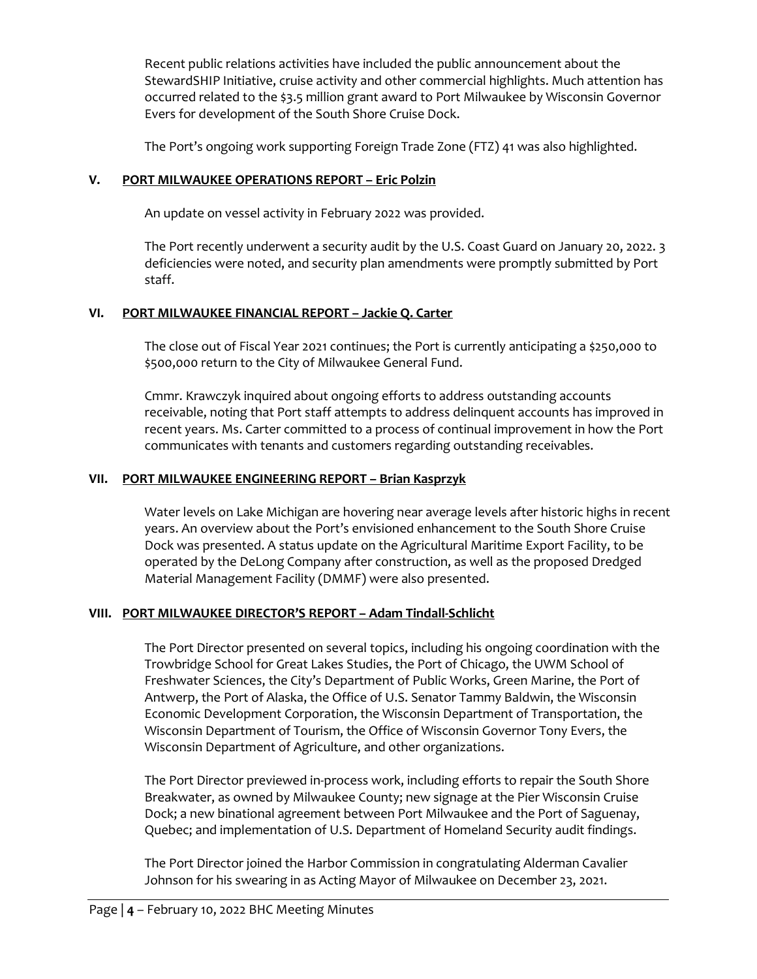Recent public relations activities have included the public announcement about the StewardSHIP Initiative, cruise activity and other commercial highlights. Much attention has occurred related to the \$3.5 million grant award to Port Milwaukee by Wisconsin Governor Evers for development of the South Shore Cruise Dock.

The Port's ongoing work supporting Foreign Trade Zone (FTZ) 41 was also highlighted.

## **V. PORT MILWAUKEE OPERATIONS REPORT – Eric Polzin**

An update on vessel activity in February 2022 was provided.

The Port recently underwent a security audit by the U.S. Coast Guard on January 20, 2022. 3 deficiencies were noted, and security plan amendments were promptly submitted by Port staff.

## **VI. PORT MILWAUKEE FINANCIAL REPORT – Jackie Q. Carter**

The close out of Fiscal Year 2021 continues; the Port is currently anticipating a \$250,000 to \$500,000 return to the City of Milwaukee General Fund.

Cmmr. Krawczyk inquired about ongoing efforts to address outstanding accounts receivable, noting that Port staff attempts to address delinquent accounts has improved in recent years. Ms. Carter committed to a process of continual improvement in how the Port communicates with tenants and customers regarding outstanding receivables.

## **VII. PORT MILWAUKEE ENGINEERING REPORT – Brian Kasprzyk**

Water levels on Lake Michigan are hovering near average levels after historic highs in recent years. An overview about the Port's envisioned enhancement to the South Shore Cruise Dock was presented. A status update on the Agricultural Maritime Export Facility, to be operated by the DeLong Company after construction, as well as the proposed Dredged Material Management Facility (DMMF) were also presented.

### **VIII. PORT MILWAUKEE DIRECTOR'S REPORT – Adam Tindall-Schlicht**

The Port Director presented on several topics, including his ongoing coordination with the Trowbridge School for Great Lakes Studies, the Port of Chicago, the UWM School of Freshwater Sciences, the City's Department of Public Works, Green Marine, the Port of Antwerp, the Port of Alaska, the Office of U.S. Senator Tammy Baldwin, the Wisconsin Economic Development Corporation, the Wisconsin Department of Transportation, the Wisconsin Department of Tourism, the Office of Wisconsin Governor Tony Evers, the Wisconsin Department of Agriculture, and other organizations.

The Port Director previewed in-process work, including efforts to repair the South Shore Breakwater, as owned by Milwaukee County; new signage at the Pier Wisconsin Cruise Dock; a new binational agreement between Port Milwaukee and the Port of Saguenay, Quebec; and implementation of U.S. Department of Homeland Security audit findings.

The Port Director joined the Harbor Commission in congratulating Alderman Cavalier Johnson for his swearing in as Acting Mayor of Milwaukee on December 23, 2021.